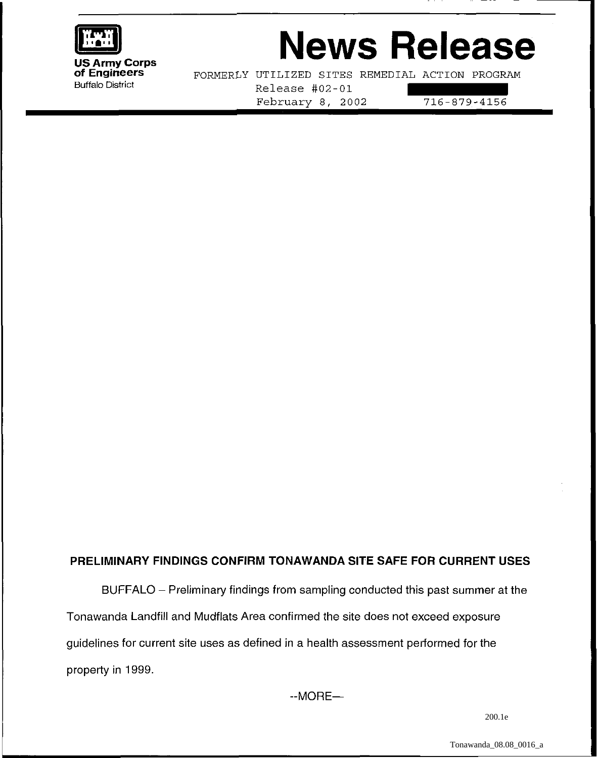

# **News Release**

FORMERLY UTILIZED SITES REMEDIAL ACTION PROGRAM Buffalo District Release #02-01 February 8, 2002 716-879-4156

## **PRELIMINARY FINDINGS CONFIRM TONAWANDA SITE SAFE FOR CURRENT USES**

BUFFALO - Preliminary findings from sampling conducted this past summer at the Tonawanda Landfill and Mudflats Area confirmed the site does not exceed exposure guidelines for current site uses as defined in a health assessment performed for the property in 1999.

 $-MORE-$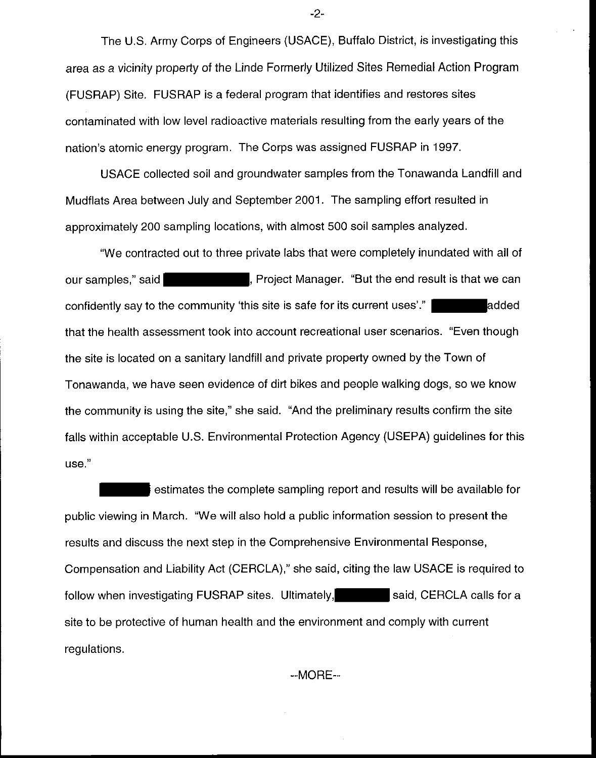The U.S. Army Corps of Engineers (USACE), Buffalo District, is investigating this area as a vicinity property of the Linde Formerly Utilized Sites Remedial Action Program (FUSRAP) Site. FUSRAP is a federal program that identifies and restores sites contaminated with low level radioactive materials resulting from the early years of the nation's atomic energy program. The Corps was assigned FUSRAP in 1997.

USACE collected soil and groundwater samples from the Tonawanda Landfill and Mudflats Area between July and September 2001. The sampling effort resulted in approximately 200 sampling locations, with almost 500 soil samples analyzed.

"We contracted out to three private labs that were completely inundated with all of our samples," said **the end result is that we can**, Project Manager. "But the end result is that we can confidently say to the community 'this site is safe for its current uses'." and added that the health assessment took into account recreational user scenarios. "Even though the site is located on a sanitary landfill and private property owned by the Town of Tonawanda, we have seen evidence of dirt bikes and people walking dogs, so we know the community is using the site," she said. "And the preliminary results confirm the site falls within acceptable U.S. Environmental Protection Agency (USEPA) guidelines for this use."

estimates the complete sampling report and results will be available for public viewing in March. "We will also hold a public information session to present the results and discuss the next step in the Comprehensive Environmental Response, Compensation and Liability Act (CERCLA)," she said, citing the law USACE is required to follow when investigating FUSRAP sites. Ultimately, said, CERCLA calls for a site to be protective of human health and the environment and comply with current regulations.

 $-MORE-$ 

-2-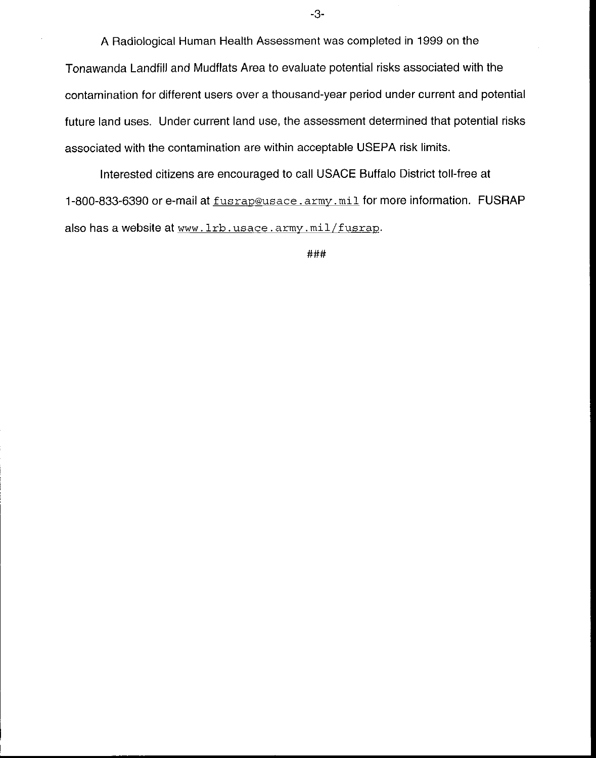A Radiological Human Health Assessment was completed in 1999 on the Tonawanda Landfill and Mudflats Area to evaluate potential risks associated with the contamination for different users over a thousand-year period under current and potential future land uses. Under current land use, the assessment determined that potential risks associated with the contamination are within acceptable USEPA risk limits.

Interested citizens are encouraged to call USACE Buffalo District toll-free at 1-800-833-6390 or e-mail at fusrap@usace .army. mil for more information. FUSRAP also has a website at www. lrb. usace. army. mil/fusrap.

###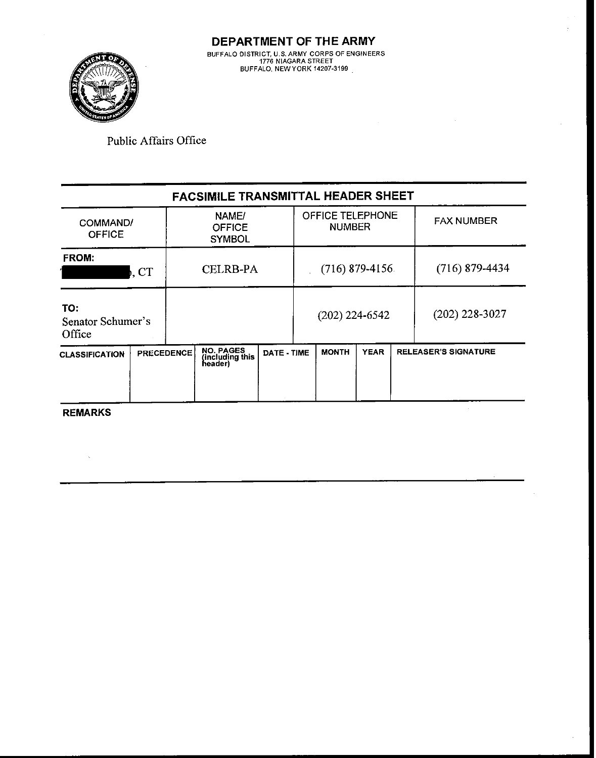

**DEPARTMENT OF THE ARMY BUFFALO DISTRICT. U.S. ARMY CORPS OF ENGINEERS**  1776 **NIAGARA STREET BUFFALO. NEWYORK** 14207-3199

Public Affairs Office

| <b>FACSIMILE TRANSMITTAL HEADER SHEET</b> |                   |                                         |                                         |             |                  |                                   |             |                  |                             |  |  |  |
|-------------------------------------------|-------------------|-----------------------------------------|-----------------------------------------|-------------|------------------|-----------------------------------|-------------|------------------|-----------------------------|--|--|--|
| COMMAND/<br><b>OFFICE</b>                 |                   | NAME/<br><b>OFFICE</b><br><b>SYMBOL</b> |                                         |             |                  | OFFICE TELEPHONE<br><b>NUMBER</b> |             |                  | <b>FAX NUMBER</b>           |  |  |  |
| <b>FROM:</b>                              | ), CT             |                                         | <b>CELRB-PA</b>                         |             | $(716)$ 879-4156 |                                   |             | $(716)$ 879-4434 |                             |  |  |  |
| TO:<br>Senator Schumer's<br>Office        |                   |                                         |                                         |             |                  | $(202)$ 224-6542                  |             | $(202)$ 228-3027 |                             |  |  |  |
| <b>CLASSIFICATION</b>                     | <b>PRECEDENCE</b> |                                         | NO. PAGES<br>(including this<br>header) | DATE - TIME |                  | <b>MONTH</b>                      | <b>YEAR</b> |                  | <b>RELEASER'S SIGNATURE</b> |  |  |  |

**REMARKS** 

 $\ddot{\phantom{a}}$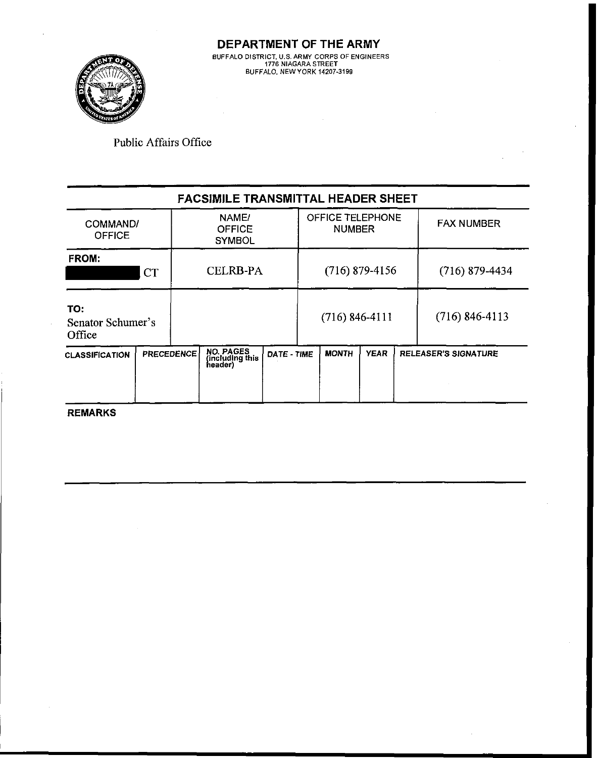

**DEPARTMENT OF THE ARMY BUFFALO DISTRICT, U.S.ARMY CORPS OF ENGINEERS 1776 NIAGARA STREET BUFFALO, NEWYORK 14207-3199** 

Public Affairs Office

|                                    |  |                                         | <b>FACSIMILE TRANSMITTAL HEADER SHEET</b>      |             |  |                                   |             |                             |
|------------------------------------|--|-----------------------------------------|------------------------------------------------|-------------|--|-----------------------------------|-------------|-----------------------------|
| COMMAND/<br><b>OFFICE</b>          |  | NAME/<br><b>OFFICE</b><br><b>SYMBOL</b> |                                                |             |  | OFFICE TELEPHONE<br><b>NUMBER</b> |             | <b>FAX NUMBER</b>           |
| <b>FROM:</b><br><b>CT</b>          |  |                                         | <b>CELRB-PA</b>                                |             |  | $(716)$ 879-4156                  |             | $(716)$ 879-4434            |
| TO:<br>Senator Schumer's<br>Office |  |                                         |                                                |             |  | $(716) 846 - 4111$                |             | $(716) 846 - 4113$          |
| <b>CLASSIFICATION</b>              |  | <b>PRECEDENCE</b>                       | <b>NO. PAGES</b><br>(including this<br>header) | DATE - TIME |  | <b>MONTH</b>                      | <b>YEAR</b> | <b>RELEASER'S SIGNATURE</b> |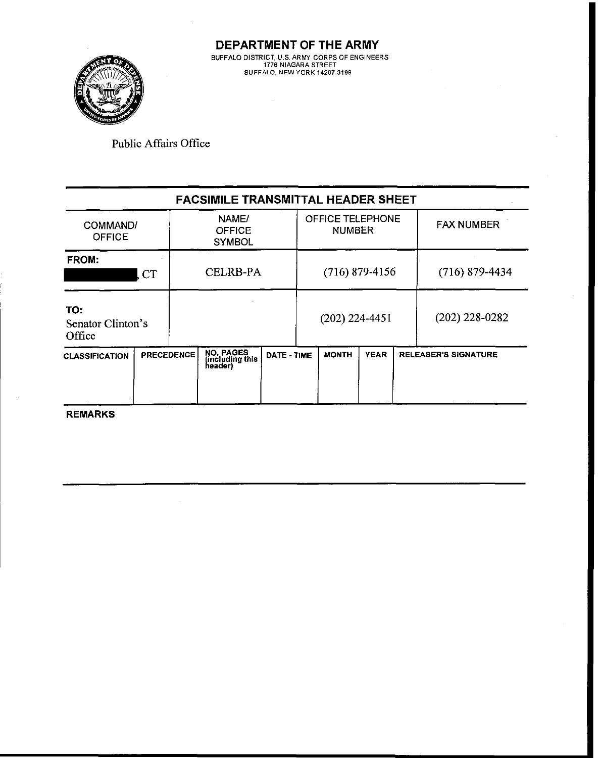

**DEPARTMENT OF THE ARMY BLFFALO DlSTR CT U 5 ARM( CORPS OF EhG NEERS 1776 hlAGARA STREET BJFFALO. hEW VCRK 14207-3199** 

Public Affairs Office

| <b>FACSIMILE TRANSMITTAL HEADER SHEET</b> |                   |                   |                                                |                                         |                  |                  |                                          |                  |                             |  |  |  |
|-------------------------------------------|-------------------|-------------------|------------------------------------------------|-----------------------------------------|------------------|------------------|------------------------------------------|------------------|-----------------------------|--|--|--|
| <b>OFFICE</b>                             | COMMAND/<br>FROM: |                   |                                                | NAME/<br><b>OFFICE</b><br><b>SYMBOL</b> |                  |                  | <b>OFFICE TELEPHONE</b><br><b>NUMBER</b> |                  | <b>FAX NUMBER</b>           |  |  |  |
|                                           | CT                |                   | <b>CELRB-PA</b>                                |                                         | $(716)$ 879-4156 |                  |                                          | $(716)$ 879-4434 |                             |  |  |  |
| TO:<br>Senator Clinton's<br>Office        |                   |                   |                                                |                                         |                  | $(202)$ 224-4451 |                                          |                  | $(202)$ 228-0282            |  |  |  |
| <b>CLASSIFICATION</b>                     |                   | <b>PRECEDENCE</b> | <b>NO. PAGES</b><br>(including this<br>header) | <b>DATE - TIME</b>                      |                  | <b>MONTH</b>     | <b>YEAR</b>                              |                  | <b>RELEASER'S SIGNATURE</b> |  |  |  |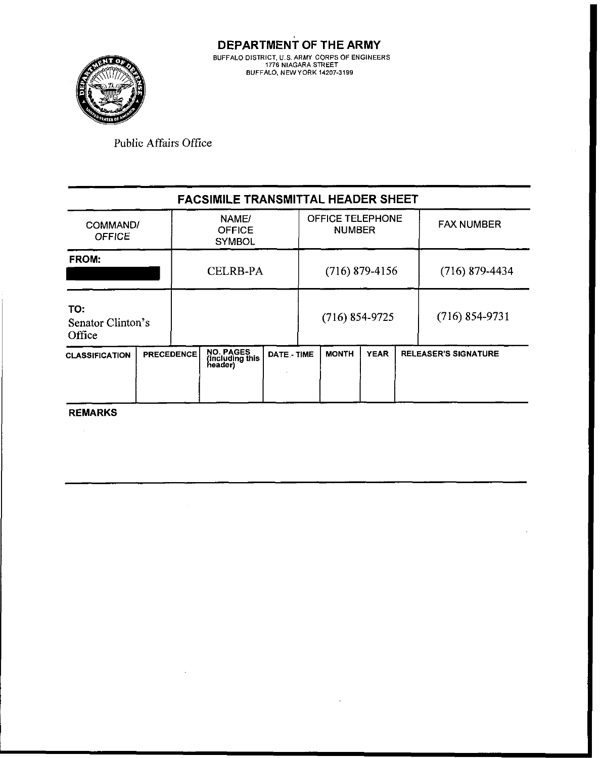

|                                    |  |                   | <b>FACSIMILE TRANSMITTAL HEADER SHEET</b>      |             |  |                                   |             |                             |
|------------------------------------|--|-------------------|------------------------------------------------|-------------|--|-----------------------------------|-------------|-----------------------------|
| COMMAND/<br><b>OFFICE</b>          |  |                   | NAME/<br><b>OFFICE</b><br><b>SYMBOL</b>        |             |  | OFFICE TELEPHONE<br><b>NUMBER</b> |             | <b>FAX NUMBER</b>           |
| <b>FROM:</b>                       |  |                   | <b>CELRB-PA</b>                                |             |  | $(716)$ 879-4156                  |             | $(716)$ 879-4434            |
| TO:<br>Senator Clinton's<br>Office |  |                   |                                                |             |  | $(716) 854-9725$                  |             | $(716) 854 - 9731$          |
| <b>CLASSIFICATION</b>              |  | <b>PRECEDENCE</b> | <b>NO. PAGES</b><br>(including this<br>header) | DATE - TIME |  | <b>MONTH</b>                      | <b>YEAR</b> | <b>RELEASER'S SIGNATURE</b> |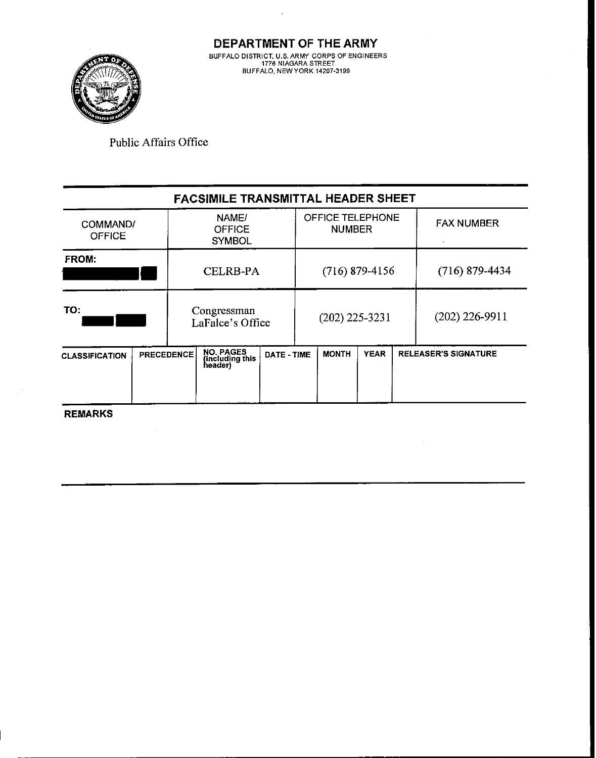$\cdot$ 



**Public Affairs Office** 

| <b>FACSIMILE TRANSMITTAL HEADER SHEET</b>  |  |                                 |                                                |             |                  |                                   |  |  |                             |  |  |  |
|--------------------------------------------|--|---------------------------------|------------------------------------------------|-------------|------------------|-----------------------------------|--|--|-----------------------------|--|--|--|
| COMMAND/<br><b>OFFICE</b>                  |  |                                 | NAME/<br><b>OFFICE</b><br><b>SYMBOL</b>        |             |                  | OFFICE TELEPHONE<br><b>NUMBER</b> |  |  | <b>FAX NUMBER</b>           |  |  |  |
| <b>FROM:</b>                               |  |                                 | <b>CELRB-PA</b>                                |             |                  | $(716)$ 879-4156                  |  |  | $(716)$ 879-4434            |  |  |  |
| TO:                                        |  | Congressman<br>LaFalce's Office |                                                |             | $(202)$ 225-3231 |                                   |  |  | $(202)$ 226-9911            |  |  |  |
| <b>PRECEDENCE</b><br><b>CLASSIFICATION</b> |  |                                 | <b>NO. PAGES</b><br>(including this<br>header) | DATE - TIME |                  | <b>YEAR</b><br><b>MONTH</b>       |  |  | <b>RELEASER'S SIGNATURE</b> |  |  |  |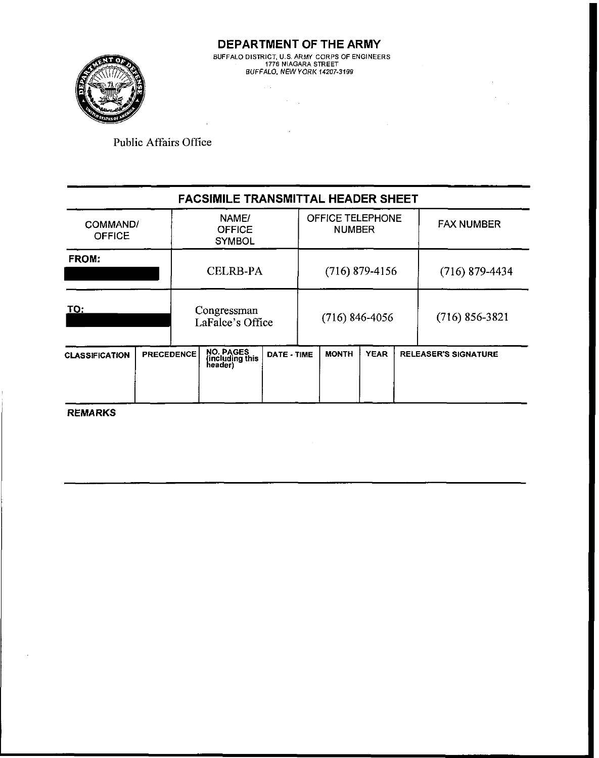

**DEPARTMENT OF THE ARMY**  BUFFALO DISTRICT. US. ARMY CORPS OF ENGINEERS 1776 NIAGARA STREET BUFFALO. NEW YORK **14207-3199** 

 $\mathcal{O}(\mathcal{O}_\mathcal{A})$  . The  $\mathcal{O}_\mathcal{A}$ 

Public Affairs Office

|                                            |  |                                 | <b>FACSIMILE TRANSMITTAL HEADER SHEET</b>      |                                            |                  |                                          |                             |                  |                   |
|--------------------------------------------|--|---------------------------------|------------------------------------------------|--------------------------------------------|------------------|------------------------------------------|-----------------------------|------------------|-------------------|
| COMMAND/<br><b>OFFICE</b>                  |  |                                 | NAME/<br><b>OFFICE</b><br><b>SYMBOL</b>        |                                            |                  | <b>OFFICE TELEPHONE</b><br><b>NUMBER</b> |                             |                  | <b>FAX NUMBER</b> |
| FROM:                                      |  |                                 | <b>CELRB-PA</b>                                |                                            |                  | $(716)$ 879-4156                         |                             | $(716)$ 879-4434 |                   |
| TO:                                        |  | Congressman<br>LaFalce's Office |                                                |                                            | $(716)$ 846-4056 |                                          |                             |                  | $(716)$ 856-3821  |
| <b>PRECEDENCE</b><br><b>CLASSIFICATION</b> |  |                                 | <b>NO. PAGES</b><br>(including this<br>header) | <b>YEAR</b><br><b>MONTH</b><br>DATE - TIME |                  |                                          | <b>RELEASER'S SIGNATURE</b> |                  |                   |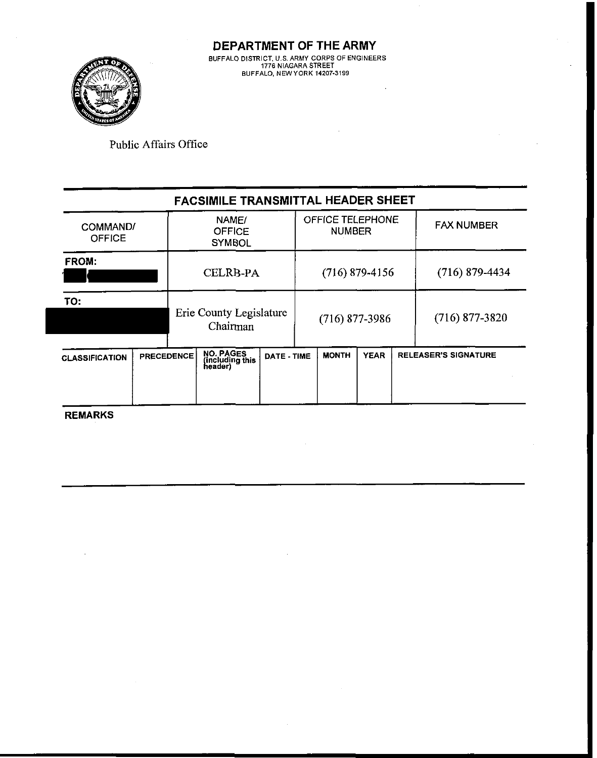

**DEPARTMENT OF THE ARMY**  UFFALO DISTRICT, U.S. ARMY CORPS OF ENGINEERS<br>1776 NIAGARA STREET<br>BUFFALO, NEW YORK 14207-3199

Public Affairs Office

| <b>FACSIMILE TRANSMITTAL HEADER SHEET</b> |                   |                                         |                                                |             |                  |                                   |             |  |                             |  |  |  |
|-------------------------------------------|-------------------|-----------------------------------------|------------------------------------------------|-------------|------------------|-----------------------------------|-------------|--|-----------------------------|--|--|--|
| COMMAND/<br><b>OFFICE</b>                 |                   | NAME/<br><b>OFFICE</b><br><b>SYMBOL</b> |                                                |             |                  | OFFICE TELEPHONE<br><b>NUMBER</b> |             |  | <b>FAX NUMBER</b>           |  |  |  |
| FROM:                                     |                   |                                         | <b>CELRB-PA</b>                                |             |                  | $(716)$ 879-4156                  |             |  | $(716)$ 879-4434            |  |  |  |
| TO:                                       |                   | Erie County Legislature<br>Chairman     |                                                |             | $(716)$ 877-3986 |                                   |             |  | $(716)$ 877-3820            |  |  |  |
| <b>CLASSIFICATION</b>                     | <b>PRECEDENCE</b> |                                         | <b>NO. PAGES</b><br>(including this<br>header) | DATE - TIME |                  | <b>MONTH</b>                      | <b>YEAR</b> |  | <b>RELEASER'S SIGNATURE</b> |  |  |  |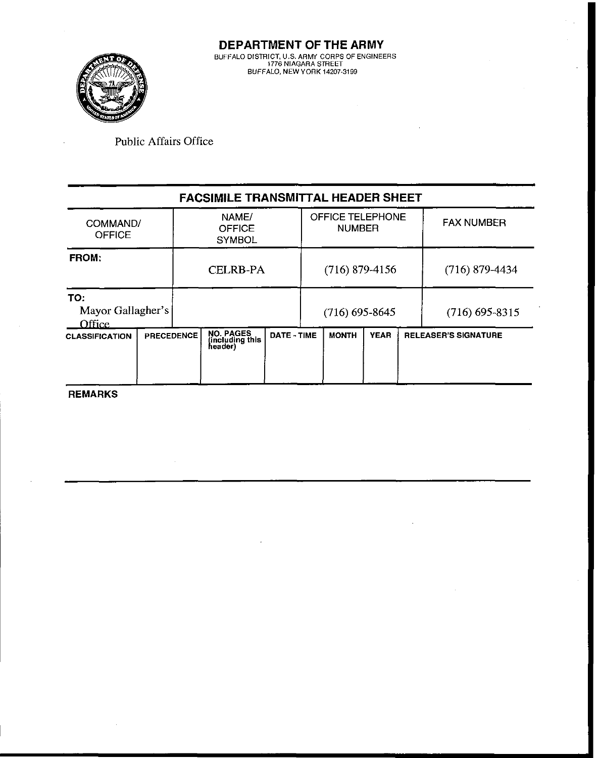

#### **FACSIMILE TRANSMITTAL HEADER SHEET FROM:**  COMMAND1 **OFFICE** CELRB-PA (716) 879-4156 (716) 879-4434 NAME/ **OFFICE SYMBOL** Mayor Gallagher's OFFICE TELEPHONE E TELEPHONE | FAX NUMBER (716) 605-9645 (716) 695-9215

| <b>IVIAYUL QAHAZIICI 5</b><br>Office |                   | (710) 093-8043<br>(710) 073-8313        |             |              |             |  |                             |
|--------------------------------------|-------------------|-----------------------------------------|-------------|--------------|-------------|--|-----------------------------|
| <b>CLASSIFICATION</b>                | <b>PRECEDENCE</b> | NO. PAGES<br>(including this<br>header) | DATE - TIME | <b>MONTH</b> | <b>YEAR</b> |  | <b>RELEASER'S SIGNATURE</b> |
| <b>REMARKS</b>                       |                   |                                         |             |              |             |  |                             |

**TO:**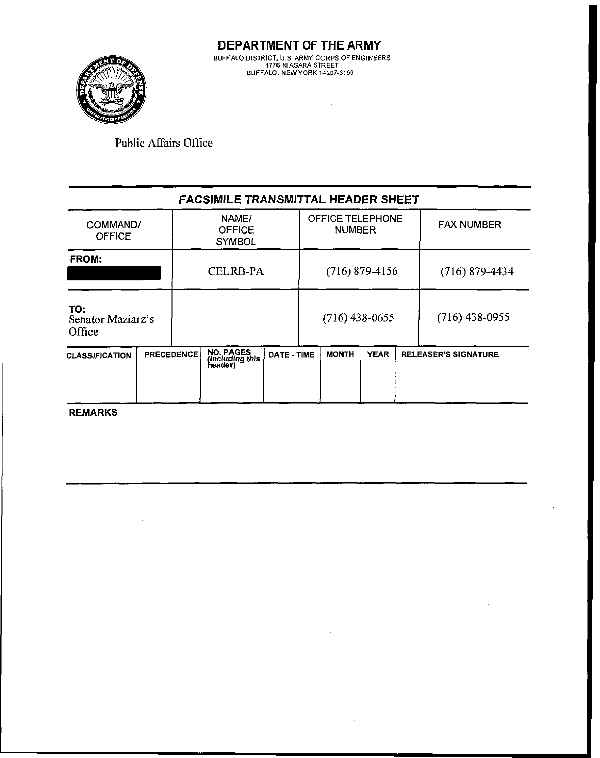

 $\sim$   $\sim$ 

Public Affairs Office

|                                    |          |                   | <b>FACSIMILE TRANSMITTAL HEADER SHEET</b> |                                         |  |                  |                                          |                  |                             |
|------------------------------------|----------|-------------------|-------------------------------------------|-----------------------------------------|--|------------------|------------------------------------------|------------------|-----------------------------|
| <b>OFFICE</b>                      | COMMAND/ |                   |                                           | NAME/<br><b>OFFICE</b><br><b>SYMBOL</b> |  |                  | <b>OFFICE TELEPHONE</b><br><b>NUMBER</b> |                  | <b>FAX NUMBER</b>           |
| FROM:                              |          |                   | <b>CELRB-PA</b>                           |                                         |  | $(716)$ 879-4156 |                                          | $(716)$ 879-4434 |                             |
| TO:<br>Senator Maziarz's<br>Office |          |                   |                                           |                                         |  | $(716)$ 438-0655 |                                          |                  | $(716)$ 438-0955            |
| <b>CLASSIFICATION</b>              |          | <b>PRECEDENCE</b> | NO. PAGES<br>(including this<br>header)   | DATE - TIME                             |  | <b>MONTH</b>     | <b>YEAR</b>                              |                  | <b>RELEASER'S SIGNATURE</b> |

**REMARKS** 

 $\mathcal{A}^{\mathcal{A}}$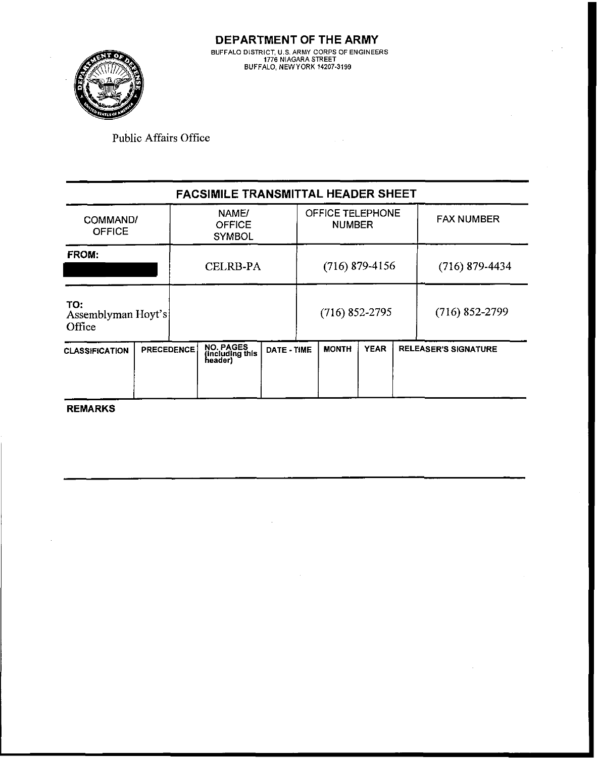

## **FACSIMILE TRANSMITTAL HEADER SHEET**

 $\gamma \rightarrow$ 

| <b>OFFICE</b>                       | NAME/<br>COMMAND/<br><b>OFFICE</b><br><b>SYMBOL</b> |  |                                         |             |                  | OFFICE TELEPHONE<br><b>NUMBER</b> |             |  | <b>FAX NUMBER</b>           |
|-------------------------------------|-----------------------------------------------------|--|-----------------------------------------|-------------|------------------|-----------------------------------|-------------|--|-----------------------------|
| FROM:                               |                                                     |  | <b>CELRB-PA</b>                         |             | $(716)$ 879-4156 |                                   |             |  | $(716)$ 879-4434            |
| TO:<br>Assemblyman Hoyt's<br>Office |                                                     |  |                                         |             |                  | $(716)$ 852-2795                  |             |  | $(716)$ 852-2799            |
| <b>CLASSIFICATION</b>               | <b>PRECEDENCE</b>                                   |  | NO. PAGES<br>(including this<br>header) | DATE - TIME |                  | <b>MONTH</b>                      | <b>YEAR</b> |  | <b>RELEASER'S SIGNATURE</b> |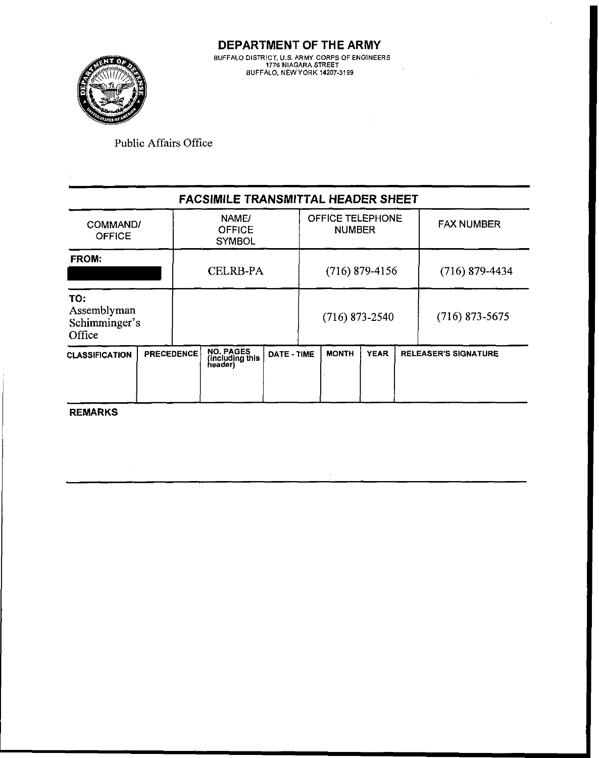

| <b>FACSIMILE TRANSMITTAL HEADER SHEET</b>     |                                                                              |                   |                                                |             |  |                   |                  |                  |                             |  |  |  |
|-----------------------------------------------|------------------------------------------------------------------------------|-------------------|------------------------------------------------|-------------|--|-------------------|------------------|------------------|-----------------------------|--|--|--|
| COMMAND/<br><b>OFFICE</b>                     | OFFICE TELEPHONE<br>NAME/<br><b>OFFICE</b><br><b>NUMBER</b><br><b>SYMBOL</b> |                   |                                                |             |  | <b>FAX NUMBER</b> |                  |                  |                             |  |  |  |
| <b>FROM:</b>                                  |                                                                              |                   | <b>CELRB-PA</b><br>$(716)$ 879-4156            |             |  |                   | $(716)$ 879-4434 |                  |                             |  |  |  |
| TO:<br>Assemblyman<br>Schimminger's<br>Office |                                                                              |                   |                                                |             |  | $(716)$ 873-2540  |                  | $(716)$ 873-5675 |                             |  |  |  |
| <b>CLASSIFICATION</b>                         |                                                                              | <b>PRECEDENCE</b> | <b>NO. PAGES</b><br>(including this<br>header) | DATE - TIME |  | <b>MONTH</b>      | <b>YEAR</b>      |                  | <b>RELEASER'S SIGNATURE</b> |  |  |  |

<sup>1</sup>**REMARKS** 

 $\sim$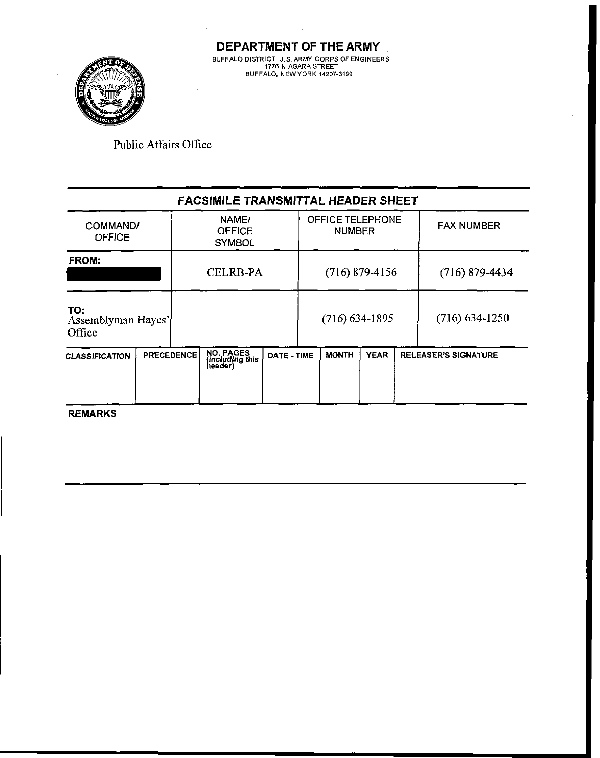

**DEPARTMENT OF THE ARMY BUFFALO DISTRICT. US. ARMY CORPS OF ENGINEERS 1776 NIAGARA STREET BUFFALO. NEWYORK 14207-3199** 

Public Affairs Office

|                                     |                   | <b>FACSIMILE TRANSMITTAL HEADER SHEET</b> |             |                                   |                  |             |                  |                      |
|-------------------------------------|-------------------|-------------------------------------------|-------------|-----------------------------------|------------------|-------------|------------------|----------------------|
| COMMAND/<br><b>OFFICE</b>           |                   | NAME/<br><b>OFFICE</b><br><b>SYMBOL</b>   |             | OFFICE TELEPHONE<br><b>NUMBER</b> |                  |             |                  | <b>FAX NUMBER</b>    |
| <b>FROM:</b>                        |                   | <b>CELRB-PA</b>                           |             |                                   | $(716)$ 879-4156 |             | $(716)$ 879-4434 |                      |
| TO:<br>Assemblyman Hayes'<br>Office |                   |                                           |             |                                   | $(716)$ 634-1895 |             |                  | $(716)$ 634-1250     |
| <b>CLASSIFICATION</b>               | <b>PRECEDENCE</b> | NO. PAGES<br>(including this<br>header)   | DATE - TIME |                                   | <b>MONTH</b>     | <b>YEAR</b> |                  | RELEASER'S SIGNATURE |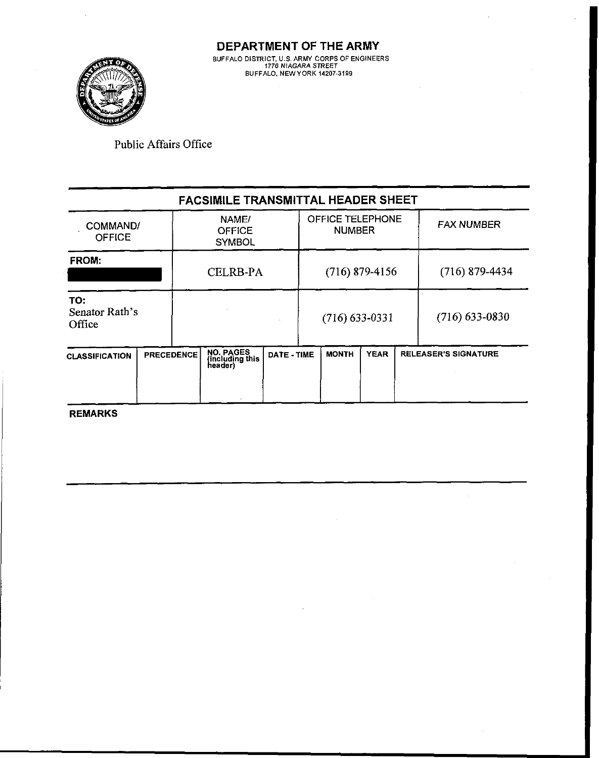# **FACSIMILE TRANSMITTAL HEADER SHEET**

| <b>CLASSIFICATION</b>           | <b>PRECEDENCE</b> |  | <b>NO. PAGES</b><br>(including this<br>header) | DATE - TIME |  | <b>MONTH</b>                      | <b>YEAR</b> |                   | <b>RELEASER'S SIGNATURE</b> |
|---------------------------------|-------------------|--|------------------------------------------------|-------------|--|-----------------------------------|-------------|-------------------|-----------------------------|
| TO:<br>Senator Rath's<br>Office |                   |  |                                                |             |  | $(716)$ 633-0331                  |             |                   | $(716)$ 633-0830            |
| <b>FROM:</b>                    |                   |  | <b>CELRB-PA</b>                                |             |  | $(716)$ 879-4156                  |             |                   | $(716)$ 879-4434            |
| COMMAND/<br><b>OFFICE</b>       |                   |  | NAME/<br><b>OFFICE</b><br><b>SYMBOL</b>        |             |  | OFFICE TELEPHONE<br><b>NUMBER</b> |             | <b>FAX NUMBER</b> |                             |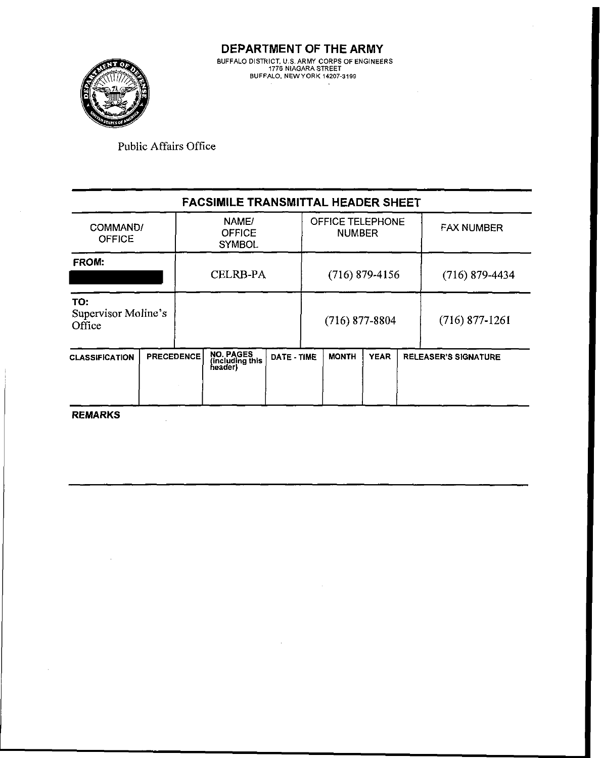

|                                      |          |                   | <b>FACSIMILE TRANSMITTAL HEADER SHEET</b> |                                         |                  |                  |                                   |                   |                             |
|--------------------------------------|----------|-------------------|-------------------------------------------|-----------------------------------------|------------------|------------------|-----------------------------------|-------------------|-----------------------------|
| <b>OFFICE</b>                        | COMMAND/ |                   |                                           | NAME/<br><b>OFFICE</b><br><b>SYMBOL</b> |                  |                  | OFFICE TELEPHONE<br><b>NUMBER</b> | <b>FAX NUMBER</b> |                             |
| FROM:                                |          |                   | <b>CELRB-PA</b>                           |                                         | $(716)$ 879-4156 |                  |                                   |                   | $(716)$ 879-4434            |
| TO:<br>Supervisor Moline's<br>Office |          |                   |                                           |                                         |                  | $(716)$ 877-8804 |                                   |                   | $(716)$ 877-1261            |
| <b>CLASSIFICATION</b>                |          | <b>PRECEDENCE</b> | NO. PAGES<br>(including this<br>header)   | DATE - TIME                             |                  | <b>MONTH</b>     | <b>YEAR</b>                       |                   | <b>RELEASER'S SIGNATURE</b> |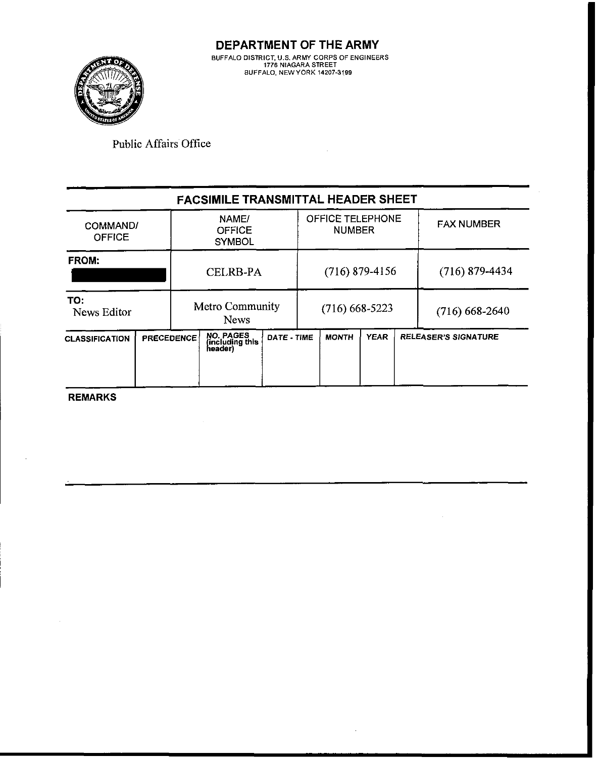

 $\mathbf{r}$ 

Public Affairs Office

|                           |  |                                         | <b>FACSIMILE TRANSMITTAL HEADER SHEET</b>      |                                   |  |                  |                  |                   |                             |
|---------------------------|--|-----------------------------------------|------------------------------------------------|-----------------------------------|--|------------------|------------------|-------------------|-----------------------------|
| COMMAND/<br><b>OFFICE</b> |  | NAME/<br><b>OFFICE</b><br><b>SYMBOL</b> |                                                | OFFICE TELEPHONE<br><b>NUMBER</b> |  |                  |                  | <b>FAX NUMBER</b> |                             |
| <b>FROM:</b>              |  |                                         | <b>CELRB-PA</b>                                |                                   |  | $(716)$ 879-4156 |                  |                   | $(716)$ 879-4434            |
| TO:<br>News Editor        |  | Metro Community<br><b>News</b>          |                                                | $(716)$ 668-5223                  |  |                  | $(716)$ 668-2640 |                   |                             |
| <b>CLASSIFICATION</b>     |  | <b>PRECEDENCE</b>                       | <b>NO. PAGES</b><br>(including this<br>header) | DATE - TIME                       |  | <b>MONTH</b>     | <b>YEAR</b>      |                   | <b>RELEASER'S SIGNATURE</b> |

**REMARKS** 

 $\mathcal{L}_{\mathcal{A}}$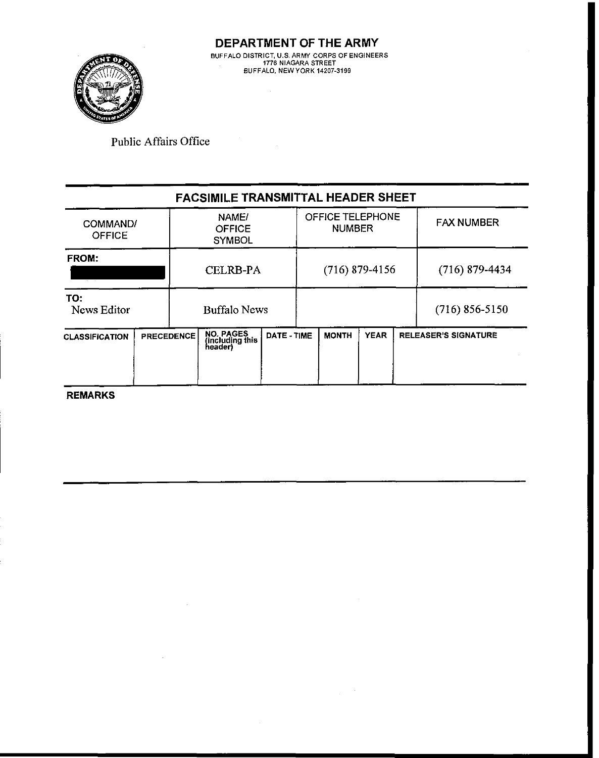

# **FACSIMILE TRANSMITTAL HEADER SHEET**

| COMMAND/<br><b>OFFICE</b> |                   | NAME/<br><b>OFFICE</b><br><b>SYMBOL</b>        | OFFICE TELEPHONE<br><b>NUMBER</b> |  |                  | <b>FAX NUMBER</b> |  |                             |
|---------------------------|-------------------|------------------------------------------------|-----------------------------------|--|------------------|-------------------|--|-----------------------------|
| FROM:                     |                   | <b>CELRB-PA</b>                                |                                   |  | $(716)$ 879-4156 |                   |  | $(716)$ 879-4434            |
| TO:<br>News Editor        |                   | <b>Buffalo News</b>                            |                                   |  |                  |                   |  | $(716)$ 856-5150            |
| <b>CLASSIFICATION</b>     | <b>PRECEDENCE</b> | <b>NO. PAGES</b><br>(including this<br>header) | DATE - TIME                       |  | <b>MONTH</b>     | <b>YEAR</b>       |  | <b>RELEASER'S SIGNATURE</b> |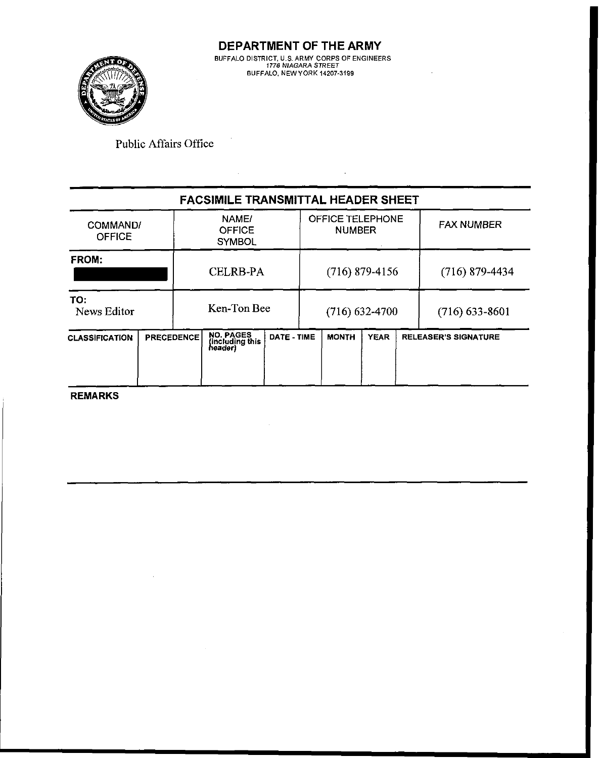

 $\hat{\mathcal{A}}$ 

 $\sim$   $\sim$ 

Public Affairs Office

 $\bar{z}$ 

|                       |                   |  | <b>FACSIMILE TRANSMITTAL HEADER SHEET</b>      |                  |  |                                   |             |                   |                             |
|-----------------------|-------------------|--|------------------------------------------------|------------------|--|-----------------------------------|-------------|-------------------|-----------------------------|
| <b>OFFICE</b>         | COMMAND/          |  | NAME/<br><b>OFFICE</b><br><b>SYMBOL</b>        |                  |  | OFFICE TELEPHONE<br><b>NUMBER</b> |             | <b>FAX NUMBER</b> |                             |
| FROM:                 |                   |  | <b>CELRB-PA</b>                                |                  |  | $(716)$ 879-4156                  |             |                   | $(716)$ 879-4434            |
| TO:<br>News Editor    | Ken-Ton Bee       |  |                                                | $(716)$ 632-4700 |  |                                   |             | $(716)$ 633-8601  |                             |
| <b>CLASSIFICATION</b> | <b>PRECEDENCE</b> |  | <b>NO. PAGES</b><br>(including this<br>header) | DATE - TIME      |  | <b>MONTH</b>                      | <b>YEAR</b> |                   | <b>RELEASER'S SIGNATURE</b> |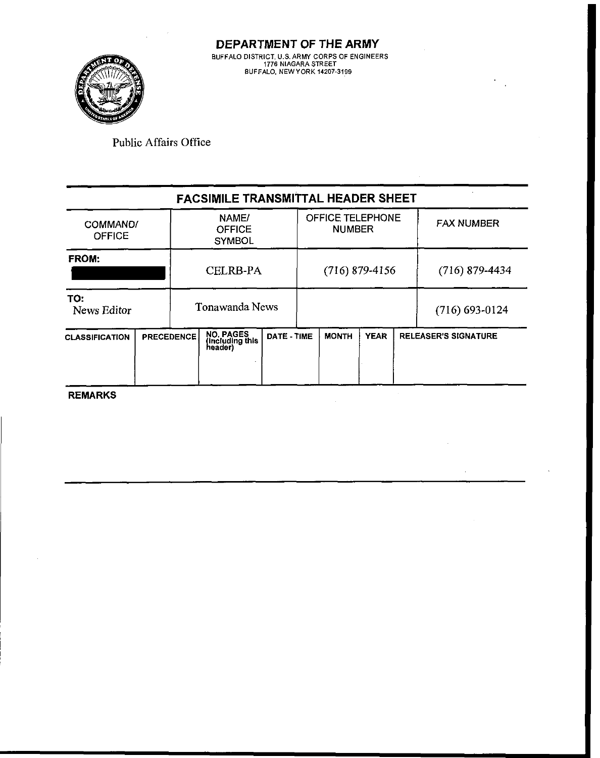

**DEPARTMENT OF THE ARMY BUFFALO DISTRICT. U.S.ARW CORPS OF ENGINEERS 1776 NIAGARA STREET BUFFALO. NEWYORK 14207-3199** 

Public Affairs Office

## **FACSIMILE TRANSMITTAL HEADER SHEET**  NAME1 OFFICE TELEPHONE<br>NUMBER FAX NUMBER COMMAND/ **OFFICE OFFICE SYMBOL** ERICEI **FROM:**  CELRB-PA (716) 879-4156 (716) 879-4434 **TO:**  Tonawanda News  $(716)$  693-0124 I I **CLASSIFICATION PRECEDENCE NO. PAGES (including this DATE - TIME MONTH YEAR RELEASER'S SIGNATURE 1991)** -- **REMARKS**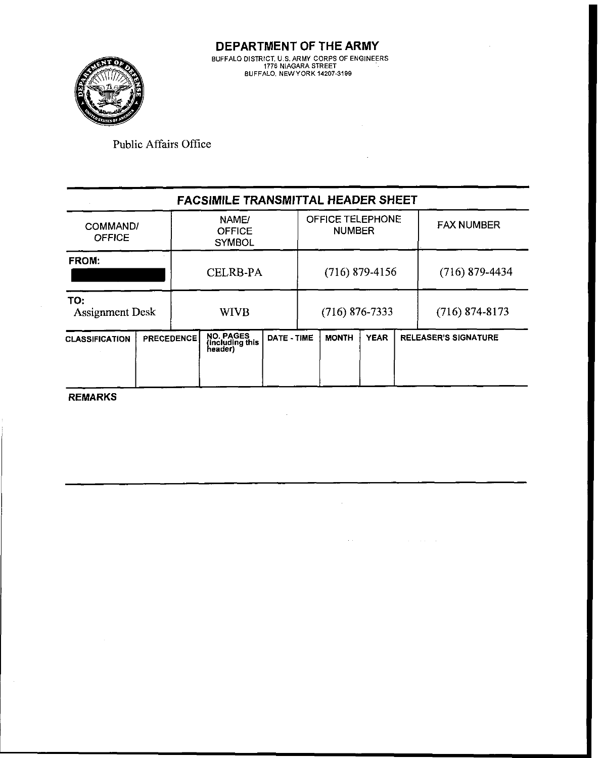l.



Public Affairs Office

|                               |                   |             | <b>FACSIMILE TRANSMITTAL HEADER SHEET</b> |                  |                                          |              |                  |                  |                             |
|-------------------------------|-------------------|-------------|-------------------------------------------|------------------|------------------------------------------|--------------|------------------|------------------|-----------------------------|
| COMMAND/<br><b>OFFICE</b>     |                   |             | NAME/<br><b>OFFICE</b><br><b>SYMBOL</b>   |                  | <b>OFFICE TELEPHONE</b><br><b>NUMBER</b> |              |                  |                  | <b>FAX NUMBER</b>           |
| FROM:                         |                   |             | <b>CELRB-PA</b>                           | $(716)$ 879-4156 |                                          |              |                  | $(716)$ 879-4434 |                             |
| TO:<br><b>Assignment Desk</b> |                   | <b>WIVB</b> |                                           | $(716)$ 876-7333 |                                          |              | $(716)$ 874-8173 |                  |                             |
| <b>CLASSIFICATION</b>         | <b>PRECEDENCE</b> |             | NO. PAGES<br>(including this<br>header)   | DATE - TIME      |                                          | <b>MONTH</b> | <b>YEAR</b>      |                  | <b>RELEASER'S SIGNATURE</b> |

 $\sim$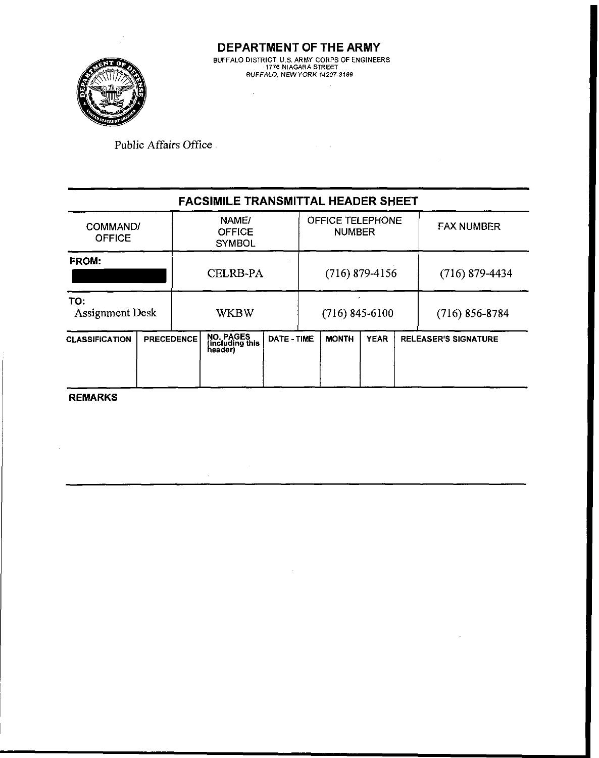

 $\sim$ 

**Public Affairs Office** 

|                                            |                        |  | <b>FACSIMILE TRANSMITTAL HEADER SHEET</b>      |             |                                          |                  |                             |                   |  |
|--------------------------------------------|------------------------|--|------------------------------------------------|-------------|------------------------------------------|------------------|-----------------------------|-------------------|--|
| COMMAND/<br><b>OFFICE</b>                  |                        |  | NAME/<br><b>OFFICE</b><br><b>SYMBOL</b>        |             | <b>OFFICE TELEPHONE</b><br><b>NUMBER</b> |                  |                             | <b>FAX NUMBER</b> |  |
| FROM:                                      |                        |  | <b>CELRB-PA</b>                                |             |                                          | $(716)$ 879-4156 |                             | $(716)$ 879-4434  |  |
| TO:                                        | <b>Assignment Desk</b> |  | <b>WKBW</b>                                    |             |                                          | $(716)$ 845-6100 | $(716)$ 856-8784            |                   |  |
| <b>PRECEDENCE</b><br><b>CLASSIFICATION</b> |                        |  | <b>NO. PAGES</b><br>(including this<br>header) | DATE - TIME | <b>MONTH</b>                             | <b>YEAR</b>      | <b>RELEASER'S SIGNATURE</b> |                   |  |
|                                            |                        |  |                                                |             |                                          |                  |                             |                   |  |

 $\sim$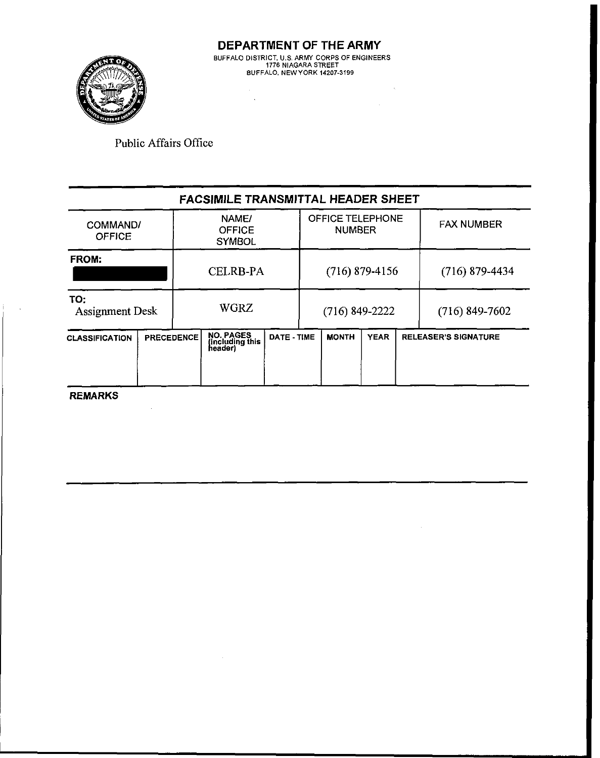

 $\sim 10^{-11}$ 

 $\sim 30$ 

Public Affairs Office

|                                            |          |  | <b>FACSIMILE TRANSMITTAL HEADER SHEET</b>      |                  |                                   |              |             |                  |                             |
|--------------------------------------------|----------|--|------------------------------------------------|------------------|-----------------------------------|--------------|-------------|------------------|-----------------------------|
| <b>OFFICE</b>                              | COMMAND/ |  | NAME/<br><b>OFFICE</b><br><b>SYMBOL</b>        |                  | OFFICE TELEPHONE<br><b>NUMBER</b> |              |             |                  | <b>FAX NUMBER</b>           |
| <b>FROM:</b>                               |          |  | <b>CELRB-PA</b>                                | $(716)$ 879-4156 |                                   |              |             | $(716)$ 879-4434 |                             |
| TO:<br><b>Assignment Desk</b>              |          |  | <b>WGRZ</b>                                    |                  | $(716)$ 849-2222                  |              |             | $(716)$ 849-7602 |                             |
| <b>PRECEDENCE</b><br><b>CLASSIFICATION</b> |          |  | <b>NO. PAGES</b><br>(including this<br>header) | DATE - TIME      |                                   | <b>MONTH</b> | <b>YEAR</b> |                  | <b>RELEASER'S SIGNATURE</b> |

**REMARKS** 

 $\sim 10^7$ 

È.  $\bar{\mathcal{A}}$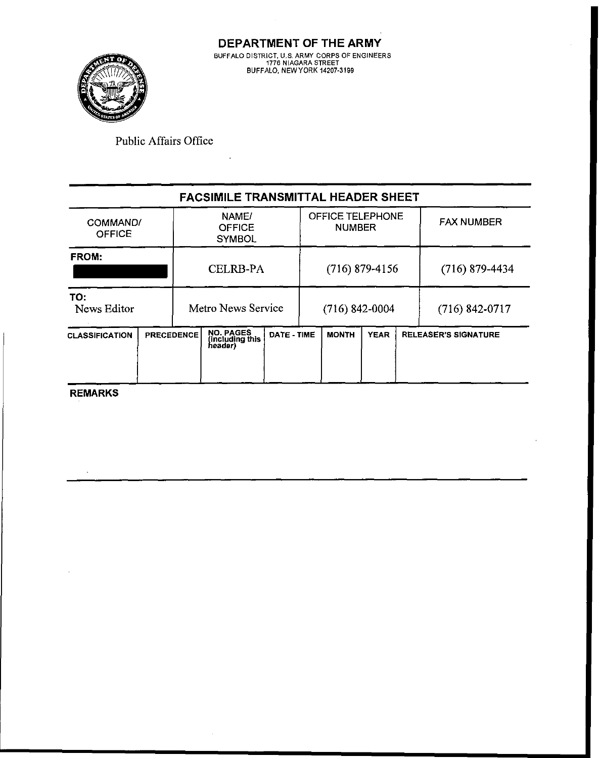

**DEPARTMENT OF THE ARMY**  BUFFALO DISTRICT, U.S. ARMY CORPS OF ENGINEERS<br>1776 NIAGARA STREET **BJFFALO, hEWYORK 14207-3199** 

Public Affairs Office

|                           |                                         |  | <b>FACSIMILE TRANSMITTAL HEADER SHEET</b> |                                   |                  |                  |             |                   |                             |
|---------------------------|-----------------------------------------|--|-------------------------------------------|-----------------------------------|------------------|------------------|-------------|-------------------|-----------------------------|
| COMMAND/<br><b>OFFICE</b> | NAME/<br><b>OFFICE</b><br><b>SYMBOL</b> |  |                                           | OFFICE TELEPHONE<br><b>NUMBER</b> |                  |                  |             | <b>FAX NUMBER</b> |                             |
| FROM:                     |                                         |  | <b>CELRB-PA</b>                           |                                   |                  | $(716)$ 879-4156 |             |                   | $(716)$ 879-4434            |
| TO:<br>News Editor        |                                         |  | Metro News Service                        |                                   | $(716)$ 842-0004 |                  |             | $(716)$ 842-0717  |                             |
| <b>CLASSIFICATION</b>     | <b>PRECEDENCE</b>                       |  | NO. PAGES<br>(including this<br>header)   | DATE - TIME                       |                  | <b>MONTH</b>     | <b>YEAR</b> |                   | <b>RELEASER'S SIGNATURE</b> |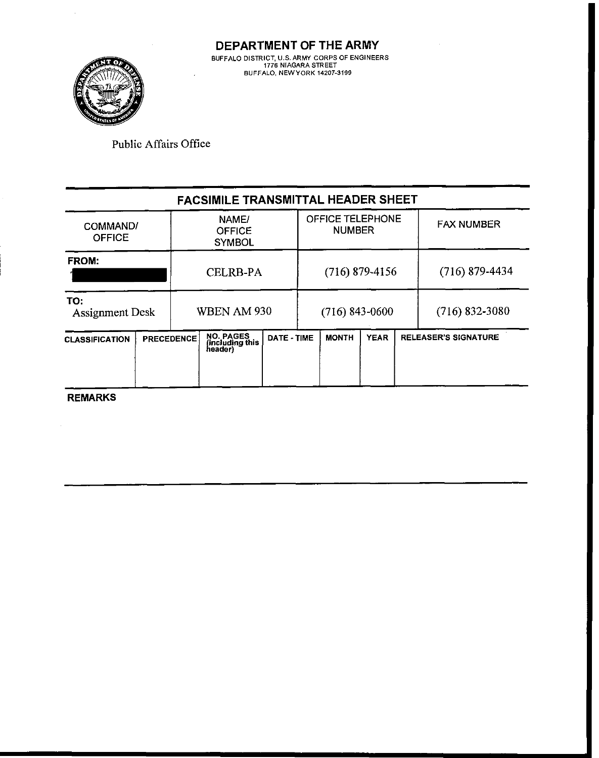

| Public Affairs Office     |                                         |                                   |                   |
|---------------------------|-----------------------------------------|-----------------------------------|-------------------|
|                           | FACSIMILE TRANSMITTAL HEADER SHEET      |                                   |                   |
| COMMAND/<br><b>OFFICE</b> | NAME/<br><b>OFFICE</b><br><b>SYMBOL</b> | OFFICE TELEPHONE<br><b>NUMBER</b> | <b>FAX NUMBER</b> |
|                           |                                         |                                   |                   |

| <b>FROM:</b>                         |  | <b>CELRB-PA</b> |                                         |             | $(716)$ 879-4156 |              |             |  | $(716)$ 879-4434            |
|--------------------------------------|--|-----------------|-----------------------------------------|-------------|------------------|--------------|-------------|--|-----------------------------|
| TO:<br><b>Assignment Desk</b>        |  |                 | WBEN AM 930                             |             | $(716)$ 843-0600 |              |             |  | $(716)$ 832-3080            |
| PRECEDENCE.<br><b>CLASSIFICATION</b> |  |                 | NO. PAGES<br>(including this<br>header) | DATE - TIME |                  | <b>MONTH</b> | <b>YEAR</b> |  | <b>RELEASER'S SIGNATURE</b> |

**REMARKS** 

 $\bar{\psi}$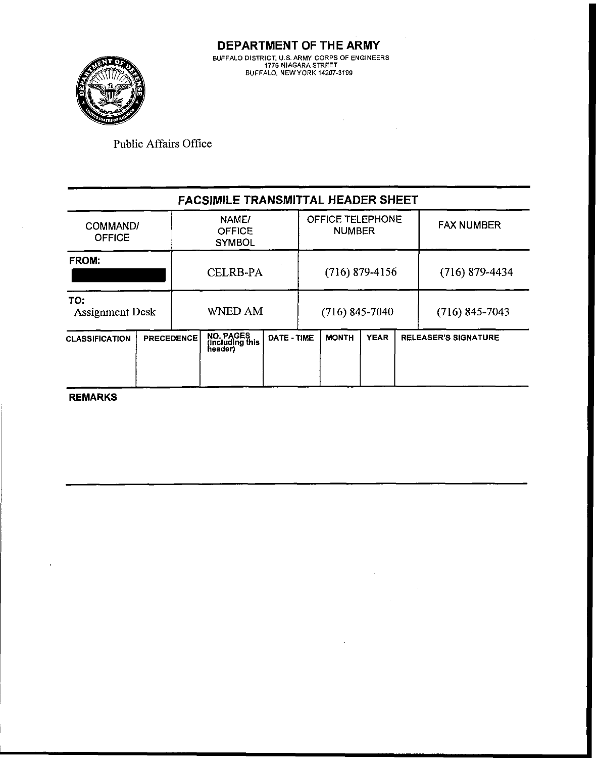

**DEPARTMENT OF THE ARMY 0JFFA.O** D **STR CT. J S ARMY CORPS OF ENG NEERS 1776 hlAGARA STREET BUFFA.0 hEWYOR< 14207-3199** 

 $\bar{z}$ 

 $\ddot{\phantom{0}}$ 

Public Affairs Office

|                               |                   |                                    | <b>FACSIMILE TRANSMITTAL HEADER SHEET</b>      |             |                                   |                  |             |  |                             |
|-------------------------------|-------------------|------------------------------------|------------------------------------------------|-------------|-----------------------------------|------------------|-------------|--|-----------------------------|
| <b>OFFICE</b>                 | COMMAND/          |                                    | NAME/<br><b>OFFICE</b><br><b>SYMBOL</b>        |             | OFFICE TELEPHONE<br><b>NUMBER</b> |                  |             |  | <b>FAX NUMBER</b>           |
| <b>FROM:</b>                  |                   |                                    | <b>CELRB-PA</b>                                |             |                                   | $(716)$ 879-4156 |             |  | $(716)$ 879-4434            |
| TO:<br><b>Assignment Desk</b> |                   | <b>WNED AM</b><br>$(716)$ 845-7040 |                                                |             | $(716)$ 845-7043                  |                  |             |  |                             |
| <b>CLASSIFICATION</b>         | <b>PRECEDENCE</b> |                                    | <b>NO. PAGES</b><br>(including this<br>header) | DATE - TIME |                                   | <b>MONTH</b>     | <b>YEAR</b> |  | <b>RELEASER'S SIGNATURE</b> |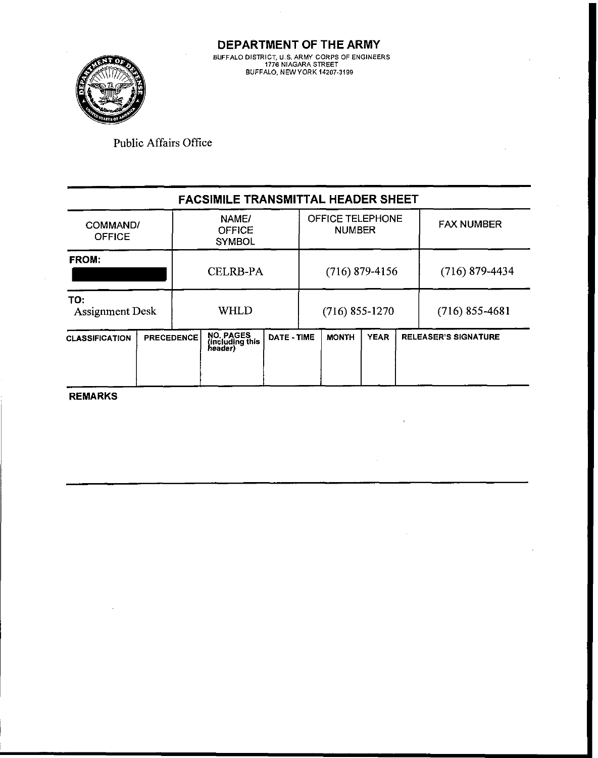

**DEPARTMENT OF THE ARMY B-FFA.0 D STR CT** L **S ARMY CORPS OF EhGlhEERS 1776 NIAGARA STREET BbFFA.0 hEWVORd 14207-3199** 

Public Affairs Office

| <b>FACSIMILE TRANSMITTAL HEADER SHEET</b> |                   |                                         |                                                |             |                                   |                  |             |                             |                   |
|-------------------------------------------|-------------------|-----------------------------------------|------------------------------------------------|-------------|-----------------------------------|------------------|-------------|-----------------------------|-------------------|
| COMMAND/<br><b>OFFICE</b>                 |                   | NAME/<br><b>OFFICE</b><br><b>SYMBOL</b> |                                                |             | OFFICE TELEPHONE<br><b>NUMBER</b> |                  |             |                             | <b>FAX NUMBER</b> |
| <b>FROM:</b>                              |                   |                                         | <b>CELRB-PA</b>                                |             |                                   | $(716)$ 879-4156 |             |                             | $(716)$ 879-4434  |
| TO:<br><b>Assignment Desk</b>             |                   | WHLD                                    |                                                |             | $(716)$ 855-1270                  |                  |             | $(716)$ 855-4681            |                   |
| <b>CLASSIFICATION</b>                     | <b>PRECEDENCE</b> |                                         | <b>NO. PAGES</b><br>(including this<br>header) | DATE - TIME |                                   | <b>MONTH</b>     | <b>YEAR</b> | <b>RELEASER'S SIGNATURE</b> |                   |

**REMARKS** 

 $\mathcal{A}$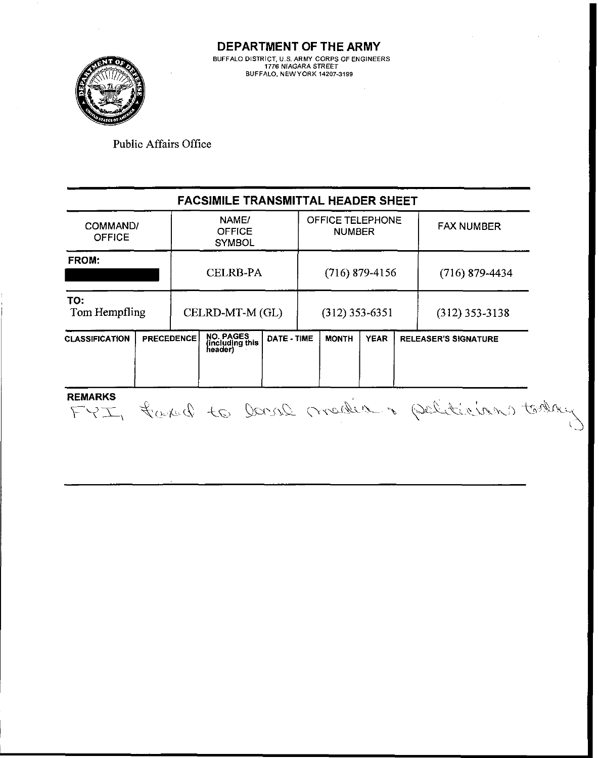

#### **FACSIMILE TRANSMITTAL HEADER SHEET**  OFFICE TELEPHONE NAME/ COMMAND1 FAX NUMBER **OFFICE** NUMBER OFFICE **SYMBOL FROM:**  CELRB-PA (716) 879-4156 (716) 879-4434 **TO:**  Tom Hempfling CELRD-MT-M (GL) (312) 353-6351 (312) 353-3138 **including the classification** PRECEDENCE NO. PAGES DATE - TIME MONTH YEAR RELEASER'S SIGNATURE<br>
Reader) **REMARKS** FYI, faxed to level mader & peliticians toda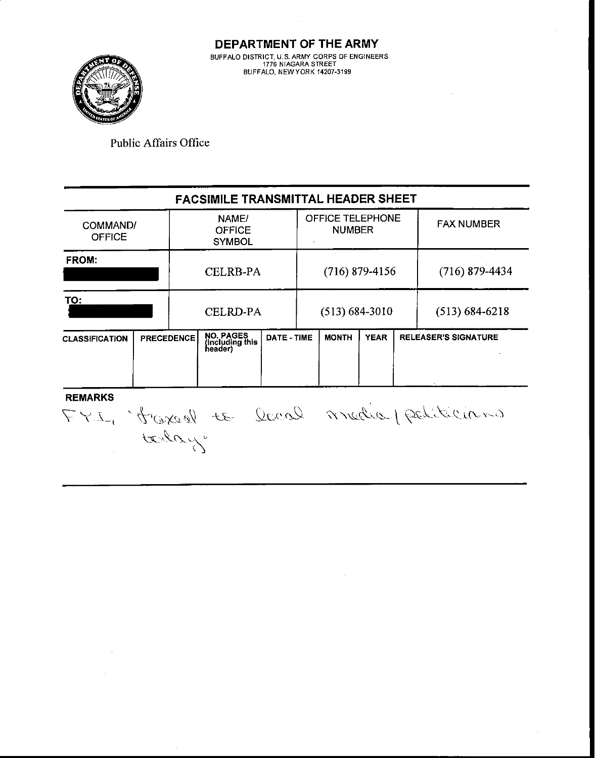

**DEPARTMENT OF THE ARMY BUFFALO DISTRICT, U.S. ARMY CORPS OF ENGINEERS 1776 NIAGARA STREET BUFFALO. NEWYORK 14207-3199** 

Public Affairs Office

## **FACSIMILE TRANSMITTAL HEADER SHEET**

| COMMAND/<br><b>OFFICE</b> |                   | NAME/<br><b>OFFICE</b><br><b>SYMBOL</b> |                                                |             | OFFICE TELEPHONE<br><b>NUMBER</b> |              |             |  | <b>FAX NUMBER</b>           |
|---------------------------|-------------------|-----------------------------------------|------------------------------------------------|-------------|-----------------------------------|--------------|-------------|--|-----------------------------|
| <b>FROM:</b>              |                   | <b>CELRB-PA</b>                         |                                                |             | $(716)$ 879-4156                  |              |             |  | $(716)$ 879-4434            |
| TO:                       |                   | <b>CELRD-PA</b>                         |                                                |             | $(513) 684 - 3010$                |              |             |  | $(513) 684 - 6218$          |
| <b>CLASSIFICATION</b>     | <b>PRECEDENCE</b> |                                         | <b>NO. PAGES</b><br>(including this<br>header) | DATE - TIME |                                   | <b>MONTH</b> | <b>YEAR</b> |  | <b>RELEASER'S SIGNATURE</b> |
| .                         |                   |                                         |                                                |             |                                   |              |             |  |                             |

 $\bar{z}$ 

FYI, france le leur media petiticiano